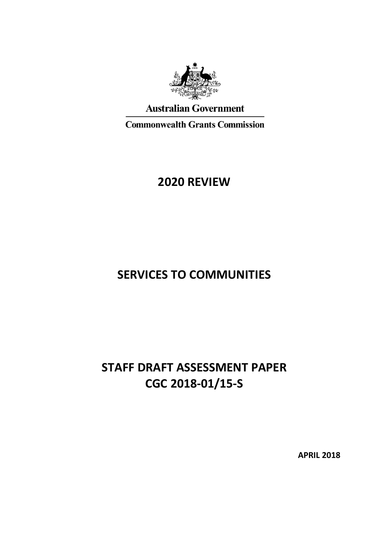

### **Australian Government**

**Commonwealth Grants Commission** 

# **2020 REVIEW**

# **SERVICES TO COMMUNITIES**

# **STAFF DRAFT ASSESSMENT PAPER CGC 2018-01/15-S**

**APRIL 2018**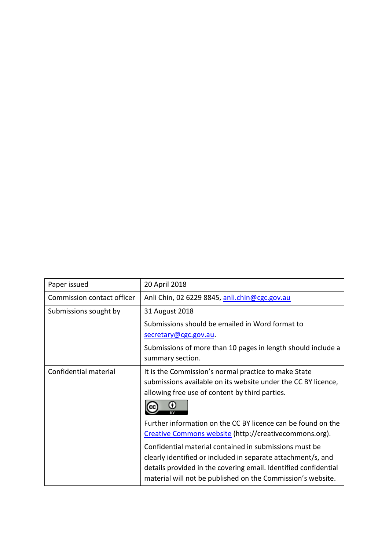| Paper issued               | 20 April 2018                                                                                                                                                                                                                                            |
|----------------------------|----------------------------------------------------------------------------------------------------------------------------------------------------------------------------------------------------------------------------------------------------------|
| Commission contact officer | Anli Chin, 02 6229 8845, anli.chin@cgc.gov.au                                                                                                                                                                                                            |
| Submissions sought by      | 31 August 2018                                                                                                                                                                                                                                           |
|                            | Submissions should be emailed in Word format to                                                                                                                                                                                                          |
|                            | secretary@cgc.gov.au.                                                                                                                                                                                                                                    |
|                            | Submissions of more than 10 pages in length should include a<br>summary section.                                                                                                                                                                         |
| Confidential material      | It is the Commission's normal practice to make State<br>submissions available on its website under the CC BY licence,<br>allowing free use of content by third parties.<br>0                                                                             |
|                            | Further information on the CC BY licence can be found on the<br>Creative Commons website (http://creativecommons.org).                                                                                                                                   |
|                            | Confidential material contained in submissions must be<br>clearly identified or included in separate attachment/s, and<br>details provided in the covering email. Identified confidential<br>material will not be published on the Commission's website. |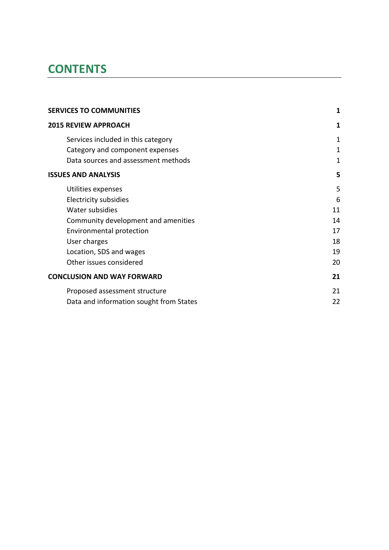# **CONTENTS**

| <b>SERVICES TO COMMUNITIES</b>          | 1           |
|-----------------------------------------|-------------|
| <b>2015 REVIEW APPROACH</b>             | 1           |
| Services included in this category      | 1           |
| Category and component expenses         | $\mathbf 1$ |
| Data sources and assessment methods     | 1           |
| <b>ISSUES AND ANALYSIS</b>              | 5           |
| Utilities expenses                      | 5           |
| Electricity subsidies                   | 6           |
| Water subsidies                         | 11          |
| Community development and amenities     | 14          |
| Environmental protection                | 17          |
| User charges                            | 18          |
| Location, SDS and wages                 | 19          |
| Other issues considered                 | 20          |
| <b>CONCLUSION AND WAY FORWARD</b>       | 21          |
| Proposed assessment structure           | 21          |
| Data and information sought from States | 22          |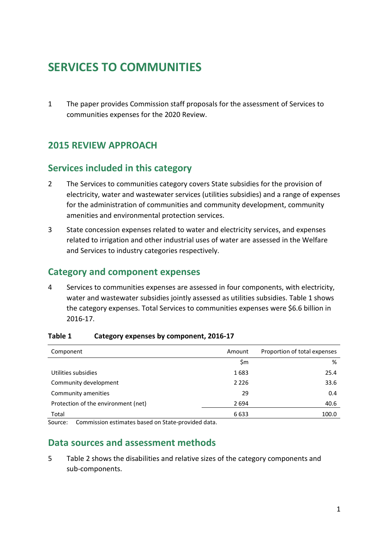# <span id="page-3-0"></span>**SERVICES TO COMMUNITIES**

1 The paper provides Commission staff proposals for the assessment of Services to communities expenses for the 2020 Review.

### <span id="page-3-1"></span>**2015 REVIEW APPROACH**

### <span id="page-3-2"></span>**Services included in this category**

- 2 The Services to communities category covers State subsidies for the provision of electricity, water and wastewater services (utilities subsidies) and a range of expenses for the administration of communities and community development, community amenities and environmental protection services.
- 3 State concession expenses related to water and electricity services, and expenses related to irrigation and other industrial uses of water are assessed in the Welfare and Services to industry categories respectively.

### <span id="page-3-3"></span>**Category and component expenses**

4 Services to communities expenses are assessed in four components, with electricity, water and wastewater subsidies jointly assessed as utilities subsidies[. Table 1](#page-3-5) shows the category expenses. Total Services to communities expenses were \$6.6 billion in 2016-17.

| Amount  | Proportion of total expenses |
|---------|------------------------------|
| \$m     | %                            |
| 1683    | 25.4                         |
| 2 2 2 6 | 33.6                         |
| 29      | 0.4                          |
| 2694    | 40.6                         |
| 6633    | 100.0                        |
|         |                              |

#### <span id="page-3-5"></span>**Table 1 Category expenses by component, 2016-17**

<span id="page-3-4"></span>Source: Commission estimates based on State-provided data.

### **Data sources and assessment methods**

5 [Table 2](#page-4-0) shows the disabilities and relative sizes of the category components and sub-components.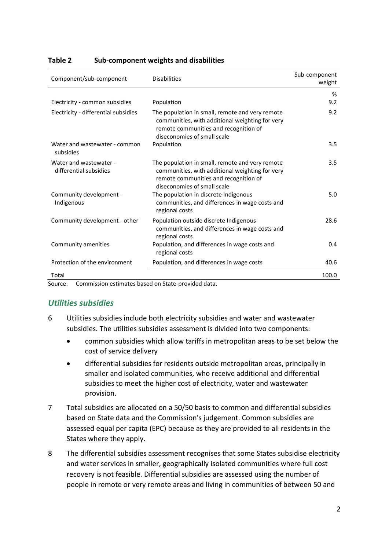| Component/sub-component                          | <b>Disabilities</b>                                                                                                                                                        | Sub-component<br>weight |
|--------------------------------------------------|----------------------------------------------------------------------------------------------------------------------------------------------------------------------------|-------------------------|
|                                                  |                                                                                                                                                                            | %                       |
| Electricity - common subsidies                   | Population                                                                                                                                                                 | 9.2                     |
| Electricity - differential subsidies             | The population in small, remote and very remote<br>communities, with additional weighting for very<br>remote communities and recognition of<br>diseconomies of small scale | 9.2                     |
| Water and wastewater - common<br>subsidies       | Population                                                                                                                                                                 | 3.5                     |
| Water and wastewater -<br>differential subsidies | The population in small, remote and very remote<br>communities, with additional weighting for very<br>remote communities and recognition of<br>diseconomies of small scale | $3.5^{\circ}$           |
| Community development -<br>Indigenous            | The population in discrete Indigenous<br>communities, and differences in wage costs and<br>regional costs                                                                  | 5.0                     |
| Community development - other                    | Population outside discrete Indigenous<br>communities, and differences in wage costs and<br>regional costs                                                                 | 28.6                    |
| Community amenities                              | Population, and differences in wage costs and<br>regional costs                                                                                                            | 0.4                     |
| Protection of the environment                    | Population, and differences in wage costs                                                                                                                                  | 40.6                    |
| Total                                            |                                                                                                                                                                            | 100.0                   |

#### <span id="page-4-0"></span>**Table 2 Sub-component weights and disabilities**

Source: Commission estimates based on State-provided data.

#### *Utilities subsidies*

- 6 Utilities subsidies include both electricity subsidies and water and wastewater subsidies. The utilities subsidies assessment is divided into two components:
	- common subsidies which allow tariffs in metropolitan areas to be set below the cost of service delivery
	- differential subsidies for residents outside metropolitan areas, principally in smaller and isolated communities, who receive additional and differential subsidies to meet the higher cost of electricity, water and wastewater provision.
- 7 Total subsidies are allocated on a 50/50 basis to common and differential subsidies based on State data and the Commission's judgement. Common subsidies are assessed equal per capita (EPC) because as they are provided to all residents in the States where they apply.
- 8 The differential subsidies assessment recognises that some States subsidise electricity and water services in smaller, geographically isolated communities where full cost recovery is not feasible. Differential subsidies are assessed using the number of people in remote or very remote areas and living in communities of between 50 and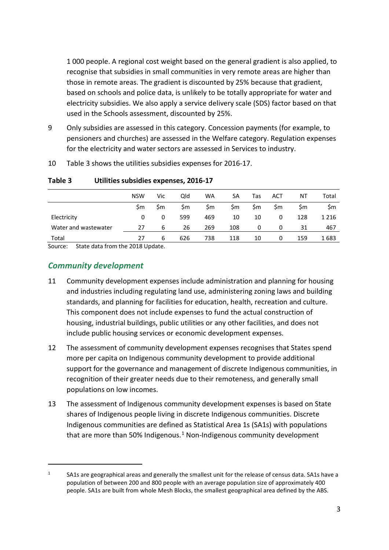1 000 people. A regional cost weight based on the general gradient is also applied, to recognise that subsidies in small communities in very remote areas are higher than those in remote areas. The gradient is discounted by 25% because that gradient, based on schools and police data, is unlikely to be totally appropriate for water and electricity subsidies. We also apply a service delivery scale (SDS) factor based on that used in the Schools assessment, discounted by 25%.

- 9 Only subsidies are assessed in this category. Concession payments (for example, to pensioners and churches) are assessed in the Welfare category. Regulation expenses for the electricity and water sectors are assessed in Services to industry.
- 10 [Table 3](#page-5-0) shows the utilities subsidies expenses for 2016-17.

|                      | <b>NSW</b> | Vic | Old | WA  | SA  | Tas | ACT | ΝT  | Total   |
|----------------------|------------|-----|-----|-----|-----|-----|-----|-----|---------|
|                      | Sm         | Sm. | Sm  | Sm  | \$m | \$m | \$m | Sm  | \$m     |
| Electricity          | 0          | 0   | 599 | 469 | 10  | 10  | 0   | 128 | 1 2 1 6 |
| Water and wastewater | 27         | 6   | 26  | 269 | 108 | 0   | 0   | 31  | 467     |
| Total<br>$\sim$      | 27         | 6   | 626 | 738 | 118 | 10  | 0   | 159 | 1683    |

<span id="page-5-0"></span>**Table 3 Utilities subsidies expenses, 2016-17**

Source: State data from the 2018 Update.

### *Community development*

- 11 Community development expenses include administration and planning for housing and industries including regulating land use, administering zoning laws and building standards, and planning for facilities for education, health, recreation and culture. This component does not include expenses to fund the actual construction of housing, industrial buildings, public utilities or any other facilities, and does not include public housing services or economic development expenses.
- 12 The assessment of community development expenses recognises that States spend more per capita on Indigenous community development to provide additional support for the governance and management of discrete Indigenous communities, in recognition of their greater needs due to their remoteness, and generally small populations on low incomes.
- 13 The assessment of Indigenous community development expenses is based on State shares of Indigenous people living in discrete Indigenous communities. Discrete Indigenous communities are defined as Statistical Area 1s (SA1s) with populations that are more than 50% Indigenous. $1$  Non-Indigenous community development

<span id="page-5-1"></span><sup>&</sup>lt;sup>1</sup> SA1s are geographical areas and generally the smallest unit for the release of census data. SA1s have a population of between 200 and 800 people with an average population size of approximately 400 people. SA1s are built from whole Mesh Blocks, the smallest geographical area defined by the ABS.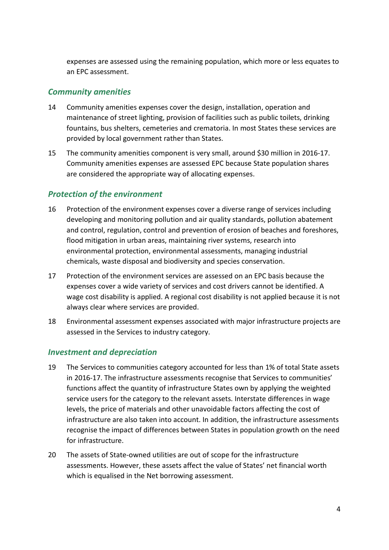expenses are assessed using the remaining population, which more or less equates to an EPC assessment.

#### *Community amenities*

- 14 Community amenities expenses cover the design, installation, operation and maintenance of street lighting, provision of facilities such as public toilets, drinking fountains, bus shelters, cemeteries and crematoria. In most States these services are provided by local government rather than States.
- 15 The community amenities component is very small, around \$30 million in 2016-17. Community amenities expenses are assessed EPC because State population shares are considered the appropriate way of allocating expenses.

### *Protection of the environment*

- 16 Protection of the environment expenses cover a diverse range of services including developing and monitoring pollution and air quality standards, pollution abatement and control, regulation, control and prevention of erosion of beaches and foreshores, flood mitigation in urban areas, maintaining river systems, research into environmental protection, environmental assessments, managing industrial chemicals, waste disposal and biodiversity and species conservation.
- 17 Protection of the environment services are assessed on an EPC basis because the expenses cover a wide variety of services and cost drivers cannot be identified. A wage cost disability is applied. A regional cost disability is not applied because it is not always clear where services are provided.
- 18 Environmental assessment expenses associated with major infrastructure projects are assessed in the Services to industry category.

#### *Investment and depreciation*

- 19 The Services to communities category accounted for less than 1% of total State assets in 2016-17. The infrastructure assessments recognise that Services to communities' functions affect the quantity of infrastructure States own by applying the weighted service users for the category to the relevant assets. Interstate differences in wage levels, the price of materials and other unavoidable factors affecting the cost of infrastructure are also taken into account. In addition, the infrastructure assessments recognise the impact of differences between States in population growth on the need for infrastructure.
- 20 The assets of State-owned utilities are out of scope for the infrastructure assessments. However, these assets affect the value of States' net financial worth which is equalised in the Net borrowing assessment.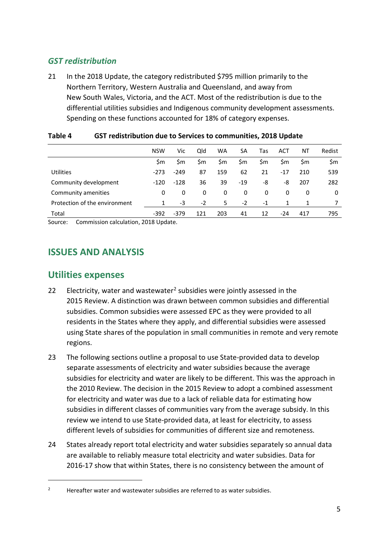### *GST redistribution*

21 In the 2018 Update, the category redistributed \$795 million primarily to the Northern Territory, Western Australia and Queensland, and away from New South Wales, Victoria, and the ACT. Most of the redistribution is due to the differential utilities subsidies and Indigenous community development assessments. Spending on these functions accounted for 18% of category expenses.

|                               | <b>NSW</b> | Vic    | Qld  | WA  | SA    | Tas  | <b>ACT</b> | ΝT  | Redist |
|-------------------------------|------------|--------|------|-----|-------|------|------------|-----|--------|
|                               | \$m        | \$m    | \$m  | \$m | \$m   | \$m  | \$m        | \$m | \$m    |
| <b>Utilities</b>              | $-273$     | $-249$ | 87   | 159 | 62    | 21   | $-17$      | 210 | 539    |
| Community development         | $-120$     | $-128$ | 36   | 39  | $-19$ | -8   | -8         | 207 | 282    |
| Community amenities           | 0          | 0      | 0    | 0   | 0     | 0    | 0          | 0   | 0      |
| Protection of the environment | 1          | -3     | $-2$ | 5   | $-2$  | $-1$ |            |     |        |
| Total                         | $-392$     | $-379$ | 121  | 203 | 41    | 12   | $-24$      | 417 | 795    |

#### **Table 4 GST redistribution due to Services to communities, 2018 Update**

<span id="page-7-0"></span>Source: Commission calculation, 2018 Update.

### **ISSUES AND ANALYSIS**

### <span id="page-7-1"></span>**Utilities expenses**

- [2](#page-7-2)2 Electricity, water and wastewater<sup>2</sup> subsidies were jointly assessed in the 2015 Review. A distinction was drawn between common subsidies and differential subsidies. Common subsidies were assessed EPC as they were provided to all residents in the States where they apply, and differential subsidies were assessed using State shares of the population in small communities in remote and very remote regions.
- <span id="page-7-3"></span>23 The following sections outline a proposal to use State-provided data to develop separate assessments of electricity and water subsidies because the average subsidies for electricity and water are likely to be different. This was the approach in the 2010 Review. The decision in the 2015 Review to adopt a combined assessment for electricity and water was due to a lack of reliable data for estimating how subsidies in different classes of communities vary from the average subsidy. In this review we intend to use State-provided data, at least for electricity, to assess different levels of subsidies for communities of different size and remoteness.
- 24 States already report total electricity and water subsidies separately so annual data are available to reliably measure total electricity and water subsidies. Data for 2016-17 show that within States, there is no consistency between the amount of

<span id="page-7-2"></span><sup>&</sup>lt;sup>2</sup> Hereafter water and wastewater subsidies are referred to as water subsidies.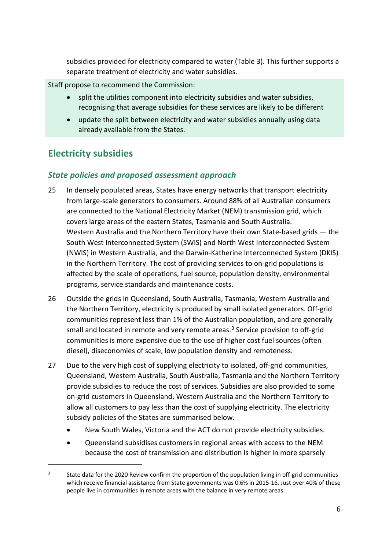subsidies provided for electricity compared to water [\(Table 3\)](#page-5-0). This further supports a separate treatment of electricity and water subsidies.

Staff propose to recommend the Commission:

- split the utilities component into electricity subsidies and water subsidies, recognising that average subsidies for these services are likely to be different
- update the split between electricity and water subsidies annually using data already available from the States.

### <span id="page-8-0"></span>**Electricity subsidies**

 $\overline{a}$ 

### *State policies and proposed assessment approach*

- 25 In densely populated areas, States have energy networks that transport electricity from large-scale generators to consumers. Around 88% of all Australian consumers are connected to the National Electricity Market (NEM) transmission grid, which covers large areas of the eastern States, Tasmania and South Australia. Western Australia and the Northern Territory have their own State-based grids — the South West Interconnected System (SWIS) and North West Interconnected System (NWIS) in Western Australia, and the Darwin-Katherine Interconnected System (DKIS) in the Northern Territory. The cost of providing services to on-grid populations is affected by the scale of operations, fuel source, population density, environmental programs, service standards and maintenance costs.
- 26 Outside the grids in Queensland, South Australia, Tasmania, Western Australia and the Northern Territory, electricity is produced by small isolated generators. Off-grid communities represent less than 1% of the Australian population, and are generally small and located in remote and very remote areas. $3$  Service provision to off-grid communities is more expensive due to the use of higher cost fuel sources (often diesel), diseconomies of scale, low population density and remoteness.
- 27 Due to the very high cost of supplying electricity to isolated, off-grid communities, Queensland, Western Australia, South Australia, Tasmania and the Northern Territory provide subsidies to reduce the cost of services. Subsidies are also provided to some on-grid customers in Queensland, Western Australia and the Northern Territory to allow all customers to pay less than the cost of supplying electricity. The electricity subsidy policies of the States are summarised below.
	- New South Wales, Victoria and the ACT do not provide electricity subsidies.
	- Queensland subsidises customers in regional areas with access to the NEM because the cost of transmission and distribution is higher in more sparsely

<span id="page-8-1"></span><sup>&</sup>lt;sup>3</sup> State data for the 2020 Review confirm the proportion of the population living in off-grid communities which receive financial assistance from State governments was 0.6% in 2015-16. Just over 40% of these people live in communities in remote areas with the balance in very remote areas.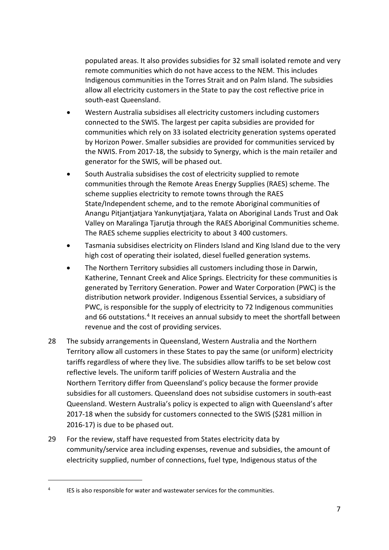populated areas. It also provides subsidies for 32 small isolated remote and very remote communities which do not have access to the NEM. This includes Indigenous communities in the Torres Strait and on Palm Island. The subsidies allow all electricity customers in the State to pay the cost reflective price in south-east Queensland.

- Western Australia subsidises all electricity customers including customers connected to the SWIS. The largest per capita subsidies are provided for communities which rely on 33 isolated electricity generation systems operated by Horizon Power. Smaller subsidies are provided for communities serviced by the NWIS. From 2017-18, the subsidy to Synergy, which is the main retailer and generator for the SWIS, will be phased out.
- South Australia subsidises the cost of electricity supplied to remote communities through the Remote Areas Energy Supplies (RAES) scheme. The scheme supplies electricity to remote towns through the RAES State/Independent scheme, and to the remote Aboriginal communities of Anangu Pitjantjatjara Yankunytjatjara, Yalata on Aboriginal Lands Trust and Oak Valley on Maralinga Tjarutja through the RAES Aboriginal Communities scheme. The RAES scheme supplies electricity to about 3 400 customers.
- Tasmania subsidises electricity on Flinders Island and King Island due to the very high cost of operating their isolated, diesel fuelled generation systems.
- The Northern Territory subsidies all customers including those in Darwin, Katherine, Tennant Creek and Alice Springs. Electricity for these communities is generated by Territory Generation. Power and Water Corporation (PWC) is the distribution network provider. Indigenous Essential Services, a subsidiary of PWC, is responsible for the supply of electricity to 72 Indigenous communities and 66 outstations.<sup>[4](#page-9-0)</sup> It receives an annual subsidy to meet the shortfall between revenue and the cost of providing services.
- 28 The subsidy arrangements in Queensland, Western Australia and the Northern Territory allow all customers in these States to pay the same (or uniform) electricity tariffs regardless of where they live. The subsidies allow tariffs to be set below cost reflective levels. The uniform tariff policies of Western Australia and the Northern Territory differ from Queensland's policy because the former provide subsidies for all customers. Queensland does not subsidise customers in south-east Queensland. Western Australia's policy is expected to align with Queensland's after 2017-18 when the subsidy for customers connected to the SWIS (\$281 million in 2016-17) is due to be phased out.
- 29 For the review, staff have requested from States electricity data by community/service area including expenses, revenue and subsidies, the amount of electricity supplied, number of connections, fuel type, Indigenous status of the

<span id="page-9-0"></span><sup>&</sup>lt;sup>4</sup> IES is also responsible for water and wastewater services for the communities.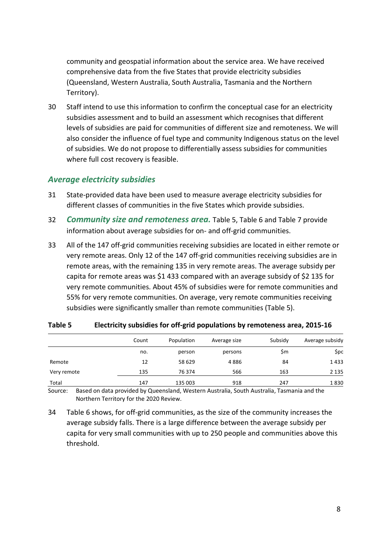community and geospatial information about the service area. We have received comprehensive data from the five States that provide electricity subsidies (Queensland, Western Australia, South Australia, Tasmania and the Northern Territory).

30 Staff intend to use this information to confirm the conceptual case for an electricity subsidies assessment and to build an assessment which recognises that different levels of subsidies are paid for communities of different size and remoteness. We will also consider the influence of fuel type and community Indigenous status on the level of subsidies. We do not propose to differentially assess subsidies for communities where full cost recovery is feasible.

#### *Average electricity subsidies*

- 31 State-provided data have been used to measure average electricity subsidies for different classes of communities in the five States which provide subsidies.
- 32 *Community size and remoteness area.* [Table 5,](#page-10-0) [Table 6](#page-11-0) and [Table 7](#page-11-1) provide information about average subsidies for on- and off-grid communities.
- 33 All of the 147 off-grid communities receiving subsidies are located in either remote or very remote areas. Only 12 of the 147 off-grid communities receiving subsidies are in remote areas, with the remaining 135 in very remote areas. The average subsidy per capita for remote areas was \$1 433 compared with an average subsidy of \$2 135 for very remote communities. About 45% of subsidies were for remote communities and 55% for very remote communities. On average, very remote communities receiving subsidies were significantly smaller than remote communities [\(Table 5\)](#page-10-0).

|             | Count | Population | Average size | Subsidy | Average subsidy |
|-------------|-------|------------|--------------|---------|-----------------|
|             | no.   | person     | persons      | \$m     | <b>Spc</b>      |
| Remote      | 12    | 58 629     | 4886         | 84      | 1433            |
| Very remote | 135   | 76 374     | 566          | 163     | 2 1 3 5         |
| Total       | 147   | 135 003    | 918          | 247     | 1830            |

#### <span id="page-10-0"></span>**Table 5 Electricity subsidies for off-grid populations by remoteness area, 2015-16**

Source: Based on data provided by Queensland, Western Australia, South Australia, Tasmania and the Northern Territory for the 2020 Review.

34 [Table 6](#page-11-0) shows, for off-grid communities, as the size of the community increases the average subsidy falls. There is a large difference between the average subsidy per capita for very small communities with up to 250 people and communities above this threshold.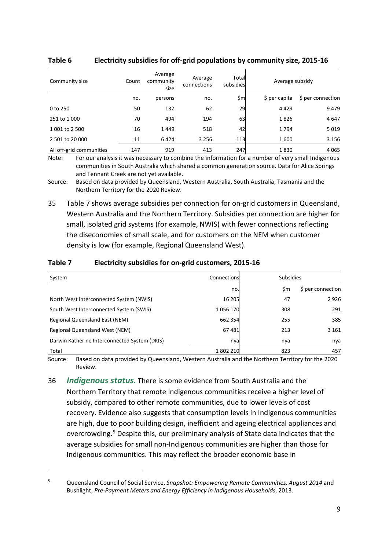| Community size           | Count | Average<br>community<br>size | Average<br>connections | Total<br>subsidies | Average subsidy |                   |
|--------------------------|-------|------------------------------|------------------------|--------------------|-----------------|-------------------|
|                          | no.   | persons                      | no.                    | \$ml               | \$ per capita   | \$ per connection |
| 0 to 250                 | 50    | 132                          | 62                     | 29                 | 4429            | 9479              |
| 251 to 1 000             | 70    | 494                          | 194                    | 63                 | 1826            | 4647              |
| 1 001 to 2 500           | 16    | 1449                         | 518                    | 42                 | 1794            | 5019              |
| 2 501 to 20 000          | 11    | 6424                         | 3 2 5 6                | 113                | 1600            | 3 1 5 6           |
| All off-grid communities | 147   | 919                          | 413                    | 247                | 1830            | 4 0 6 5           |

#### <span id="page-11-0"></span>**Table 6 Electricity subsidies for off-grid populations by community size, 2015-16**

Note: For our analysis it was necessary to combine the information for a number of very small Indigenous communities in South Australia which shared a common generation source. Data for Alice Springs and Tennant Creek are not yet available.

Source: Based on data provided by Queensland, Western Australia, South Australia, Tasmania and the Northern Territory for the 2020 Review.

35 [Table 7](#page-11-1) shows average subsidies per connection for on-grid customers in Queensland, Western Australia and the Northern Territory. Subsidies per connection are higher for small, isolated grid systems (for example, NWIS) with fewer connections reflecting the diseconomies of small scale, and for customers on the NEM when customer density is low (for example, Regional Queensland West).

| System                                        | Connections | <b>Subsidies</b> |                   |
|-----------------------------------------------|-------------|------------------|-------------------|
|                                               | no.         | \$m              | \$ per connection |
| North West Interconnected System (NWIS)       | 16 205      | 47               | 2926              |
| South West Interconnected System (SWIS)       | 1056170     | 308              | 291               |
| Regional Queensland East (NEM)                | 662 354     | 255              | 385               |
| Regional Queensland West (NEM)                | 67481       | 213              | 3 1 6 1           |
| Darwin Katherine Interconnected System (DKIS) | nya         | nya              | nya               |
| Total                                         | 1802210     | 823              | 457               |

#### <span id="page-11-1"></span>**Table 7 Electricity subsidies for on-grid customers, 2015-16**

Source: Based on data provided by Queensland, Western Australia and the Northern Territory for the 2020 Review.

36 *Indigenous status.* There is some evidence from South Australia and the Northern Territory that remote Indigenous communities receive a higher level of subsidy, compared to other remote communities, due to lower levels of cost recovery. Evidence also suggests that consumption levels in Indigenous communities are high, due to poor building design, inefficient and ageing electrical appliances and overcrowding.[5](#page-11-2) Despite this, our preliminary analysis of State data indicates that the average subsidies for small non-Indigenous communities are higher than those for Indigenous communities. This may reflect the broader economic base in

<span id="page-11-2"></span><sup>5</sup> Queensland Council of Social Service, *Snapshot: Empowering Remote Communities, August 2014* and Bushlight, *Pre-Payment Meters and Energy Efficiency in Indigenous Households*, 2013.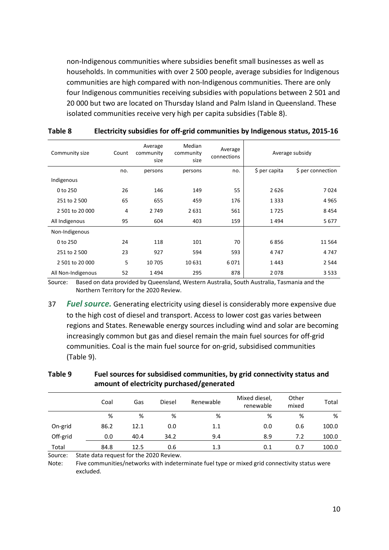non-Indigenous communities where subsidies benefit small businesses as well as households. In communities with over 2 500 people, average subsidies for Indigenous communities are high compared with non-Indigenous communities. There are only four Indigenous communities receiving subsidies with populations between 2 501 and 20 000 but two are located on Thursday Island and Palm Island in Queensland. These isolated communities receive very high per capita subsidies [\(Table 8\)](#page-12-0).

| Community size     | Count | Average<br>community<br>size | Median<br>community<br>size | Average<br>connections | Average subsidy |                   |
|--------------------|-------|------------------------------|-----------------------------|------------------------|-----------------|-------------------|
|                    | no.   | persons                      | persons                     | no.                    | \$ per capita   | \$ per connection |
| Indigenous         |       |                              |                             |                        |                 |                   |
| 0 to 250           | 26    | 146                          | 149                         | 55                     | 2626            | 7024              |
| 251 to 2 500       | 65    | 655                          | 459                         | 176                    | 1 3 3 3         | 4965              |
| 2 501 to 20 000    | 4     | 2749                         | 2631                        | 561                    | 1725            | 8454              |
| All Indigenous     | 95    | 604                          | 403                         | 159                    | 1494            | 5677              |
| Non-Indigenous     |       |                              |                             |                        |                 |                   |
| 0 to 250           | 24    | 118                          | 101                         | 70                     | 6856            | 11 5 64           |
| 251 to 2 500       | 23    | 927                          | 594                         | 593                    | 4747            | 4747              |
| 2 501 to 20 000    | 5     | 10 705                       | 10 631                      | 6071                   | 1443            | 2 5 4 4           |
| All Non-Indigenous | 52    | 1494                         | 295                         | 878                    | 2078            | 3533              |

#### <span id="page-12-0"></span>**Table 8 Electricity subsidies for off-grid communities by Indigenous status, 2015-16**

Source: Based on data provided by Queensland, Western Australia, South Australia, Tasmania and the Northern Territory for the 2020 Review.

37 *Fuel source.* Generating electricity using diesel is considerably more expensive due to the high cost of diesel and transport. Access to lower cost gas varies between regions and States. Renewable energy sources including wind and solar are becoming increasingly common but gas and diesel remain the main fuel sources for off-grid communities. Coal is the main fuel source for on-grid, subsidised communities [\(Table](#page-12-1) 9).

|          | Coal | Gas  | Diesel | Renewable | Mixed diesel,<br>renewable | Other<br>mixed | Total |
|----------|------|------|--------|-----------|----------------------------|----------------|-------|
|          | %    | %    | %      | %         | %                          | %              | %     |
| On-grid  | 86.2 | 12.1 | 0.0    | 1.1       | 0.0                        | 0.6            | 100.0 |
| Off-grid | 0.0  | 40.4 | 34.2   | 9.4       | 8.9                        | 7.2            | 100.0 |
| Total    | 84.8 | 12.5 | 0.6    | 1.3       | 0.1                        | 0.7            | 100.0 |

#### <span id="page-12-1"></span>**Table 9 Fuel sources for subsidised communities, by grid connectivity status and amount of electricity purchased/generated**

Source: State data request for the 2020 Review.

Note: Five communities/networks with indeterminate fuel type or mixed grid connectivity status were excluded.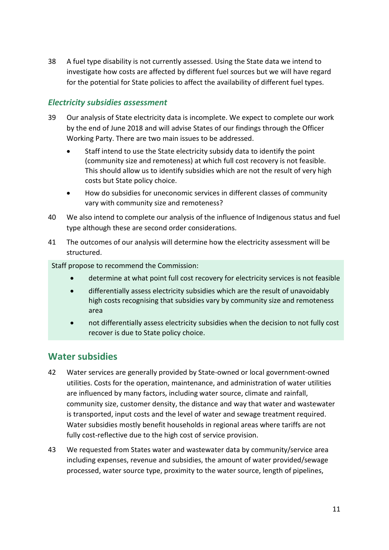38 A fuel type disability is not currently assessed. Using the State data we intend to investigate how costs are affected by different fuel sources but we will have regard for the potential for State policies to affect the availability of different fuel types.

### *Electricity subsidies assessment*

- 39 Our analysis of State electricity data is incomplete. We expect to complete our work by the end of June 2018 and will advise States of our findings through the Officer Working Party. There are two main issues to be addressed.
	- Staff intend to use the State electricity subsidy data to identify the point (community size and remoteness) at which full cost recovery is not feasible. This should allow us to identify subsidies which are not the result of very high costs but State policy choice.
	- How do subsidies for uneconomic services in different classes of community vary with community size and remoteness?
- 40 We also intend to complete our analysis of the influence of Indigenous status and fuel type although these are second order considerations.
- 41 The outcomes of our analysis will determine how the electricity assessment will be structured.

Staff propose to recommend the Commission:

- determine at what point full cost recovery for electricity services is not feasible
- differentially assess electricity subsidies which are the result of unavoidably high costs recognising that subsidies vary by community size and remoteness area
- not differentially assess electricity subsidies when the decision to not fully cost recover is due to State policy choice.

### <span id="page-13-0"></span>**Water subsidies**

- 42 Water services are generally provided by State-owned or local government-owned utilities. Costs for the operation, maintenance, and administration of water utilities are influenced by many factors, including water source, climate and rainfall, community size, customer density, the distance and way that water and wastewater is transported, input costs and the level of water and sewage treatment required. Water subsidies mostly benefit households in regional areas where tariffs are not fully cost-reflective due to the high cost of service provision.
- 43 We requested from States water and wastewater data by community/service area including expenses, revenue and subsidies, the amount of water provided/sewage processed, water source type, proximity to the water source, length of pipelines,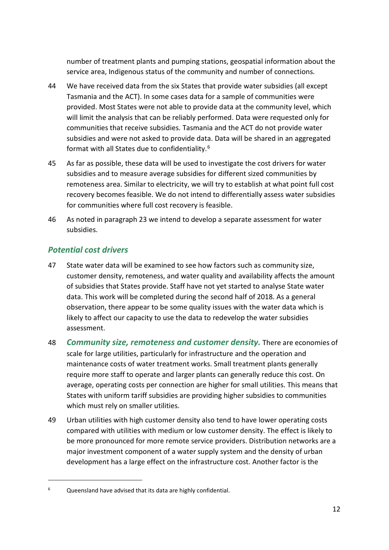number of treatment plants and pumping stations, geospatial information about the service area, Indigenous status of the community and number of connections.

- 44 We have received data from the six States that provide water subsidies (all except Tasmania and the ACT). In some cases data for a sample of communities were provided. Most States were not able to provide data at the community level, which will limit the analysis that can be reliably performed. Data were requested only for communities that receive subsidies. Tasmania and the ACT do not provide water subsidies and were not asked to provide data. Data will be shared in an aggregated format with all States due to confidentiality.[6](#page-14-0)
- 45 As far as possible, these data will be used to investigate the cost drivers for water subsidies and to measure average subsidies for different sized communities by remoteness area. Similar to electricity, we will try to establish at what point full cost recovery becomes feasible. We do not intend to differentially assess water subsidies for communities where full cost recovery is feasible.
- 46 As noted in paragrap[h 23](#page-7-3) we intend to develop a separate assessment for water subsidies.

### *Potential cost drivers*

- 47 State water data will be examined to see how factors such as community size, customer density, remoteness, and water quality and availability affects the amount of subsidies that States provide. Staff have not yet started to analyse State water data. This work will be completed during the second half of 2018. As a general observation, there appear to be some quality issues with the water data which is likely to affect our capacity to use the data to redevelop the water subsidies assessment.
- 48 *Community size, remoteness and customer density.* There are economies of scale for large utilities, particularly for infrastructure and the operation and maintenance costs of water treatment works. Small treatment plants generally require more staff to operate and larger plants can generally reduce this cost. On average, operating costs per connection are higher for small utilities. This means that States with uniform tariff subsidies are providing higher subsidies to communities which must rely on smaller utilities.
- 49 Urban utilities with high customer density also tend to have lower operating costs compared with utilities with medium or low customer density. The effect is likely to be more pronounced for more remote service providers. Distribution networks are a major investment component of a water supply system and the density of urban development has a large effect on the infrastructure cost. Another factor is the

<span id="page-14-0"></span><sup>6</sup> Queensland have advised that its data are highly confidential.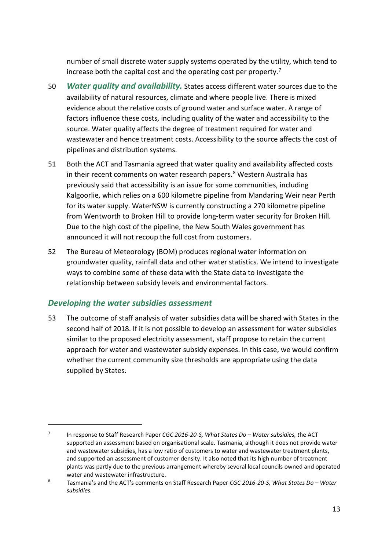number of small discrete water supply systems operated by the utility, which tend to increase both the capital cost and the operating cost per property.[7](#page-15-0)

- 50 *Water quality and availability.* States access different water sources due to the availability of natural resources, climate and where people live. There is mixed evidence about the relative costs of ground water and surface water. A range of factors influence these costs, including quality of the water and accessibility to the source. Water quality affects the degree of treatment required for water and wastewater and hence treatment costs. Accessibility to the source affects the cost of pipelines and distribution systems.
- 51 Both the ACT and Tasmania agreed that water quality and availability affected costs in their recent comments on water research papers.<sup>8</sup> Western Australia has previously said that accessibility is an issue for some communities, including Kalgoorlie, which relies on a 600 kilometre pipeline from Mandaring Weir near Perth for its water supply. WaterNSW is currently constructing a 270 kilometre pipeline from Wentworth to Broken Hill to provide long-term water security for Broken Hill. Due to the high cost of the pipeline, the New South Wales government has announced it will not recoup the full cost from customers.
- 52 The Bureau of Meteorology (BOM) produces regional water information on groundwater quality, rainfall data and other water statistics. We intend to investigate ways to combine some of these data with the State data to investigate the relationship between subsidy levels and environmental factors.

#### *Developing the water subsidies assessment*

 $\overline{a}$ 

53 The outcome of staff analysis of water subsidies data will be shared with States in the second half of 2018. If it is not possible to develop an assessment for water subsidies similar to the proposed electricity assessment, staff propose to retain the current approach for water and wastewater subsidy expenses. In this case, we would confirm whether the current community size thresholds are appropriate using the data supplied by States.

<span id="page-15-0"></span><sup>7</sup> In response to Staff Research Paper *CGC 2016-20-S, What States Do – Water subsidies, t*he ACT supported an assessment based on organisational scale. Tasmania, although it does not provide water and wastewater subsidies, has a low ratio of customers to water and wastewater treatment plants, and supported an assessment of customer density. It also noted that its high number of treatment plants was partly due to the previous arrangement whereby several local councils owned and operated water and wastewater infrastructure.

<span id="page-15-1"></span><sup>8</sup> Tasmania's and the ACT's comments on Staff Research Paper *CGC 2016-20-S, What States Do – Water subsidies.*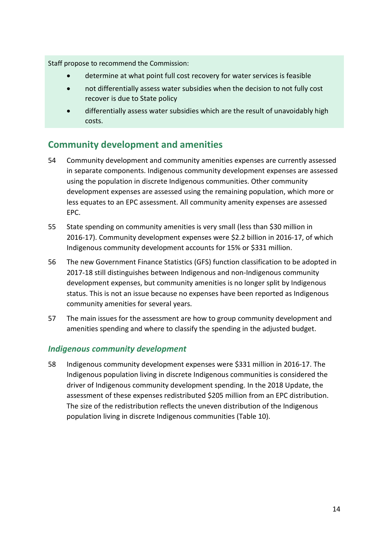Staff propose to recommend the Commission:

- determine at what point full cost recovery for water services is feasible
- not differentially assess water subsidies when the decision to not fully cost recover is due to State policy
- differentially assess water subsidies which are the result of unavoidably high costs.

### <span id="page-16-0"></span>**Community development and amenities**

- 54 Community development and community amenities expenses are currently assessed in separate components. Indigenous community development expenses are assessed using the population in discrete Indigenous communities. Other community development expenses are assessed using the remaining population, which more or less equates to an EPC assessment. All community amenity expenses are assessed EPC.
- 55 State spending on community amenities is very small (less than \$30 million in 2016-17). Community development expenses were \$2.2 billion in 2016-17, of which Indigenous community development accounts for 15% or \$331 million.
- 56 The new Government Finance Statistics (GFS) function classification to be adopted in 2017-18 still distinguishes between Indigenous and non-Indigenous community development expenses, but community amenities is no longer split by Indigenous status. This is not an issue because no expenses have been reported as Indigenous community amenities for several years.
- 57 The main issues for the assessment are how to group community development and amenities spending and where to classify the spending in the adjusted budget.

### *Indigenous community development*

58 Indigenous community development expenses were \$331 million in 2016-17. The Indigenous population living in discrete Indigenous communities is considered the driver of Indigenous community development spending. In the 2018 Update, the assessment of these expenses redistributed \$205 million from an EPC distribution. The size of the redistribution reflects the uneven distribution of the Indigenous population living in discrete Indigenous communities [\(Table 10\)](#page-17-0).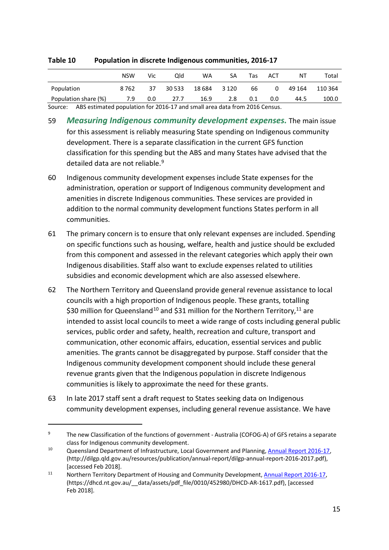|            | NSW     | Vic. | Qld | WA.                    |  | NT                  | Total |
|------------|---------|------|-----|------------------------|--|---------------------|-------|
| Population | 8 7 6 2 |      |     | 37 30 533 18 684 3 120 |  | 66 0 49 164 110 364 |       |

#### <span id="page-17-0"></span>**Table 10 Population in discrete Indigenous communities, 2016-17**

Source: ABS estimated population for 2016-17 and small area data from 2016 Census.

59 *Measuring Indigenous community development expenses.* The main issue for this assessment is reliably measuring State spending on Indigenous community development. There is a separate classification in the current GFS function classification for this spending but the ABS and many States have advised that the detailed data are not reliable.<sup>[9](#page-17-1)</sup>

Population share (%) 7.9 0.0 27.7 16.9 2.8 0.1 0.0 44.5 100.0

- 60 Indigenous community development expenses include State expenses for the administration, operation or support of Indigenous community development and amenities in discrete Indigenous communities. These services are provided in addition to the normal community development functions States perform in all communities.
- 61 The primary concern is to ensure that only relevant expenses are included. Spending on specific functions such as housing, welfare, health and justice should be excluded from this component and assessed in the relevant categories which apply their own Indigenous disabilities. Staff also want to exclude expenses related to utilities subsidies and economic development which are also assessed elsewhere.
- 62 The Northern Territory and Queensland provide general revenue assistance to local councils with a high proportion of Indigenous people. These grants, totalling \$30 million for Queensland<sup>[10](#page-17-2)</sup> and \$31 million for the Northern Territory,<sup>11</sup> are intended to assist local councils to meet a wide range of costs including general public services, public order and safety, health, recreation and culture, transport and communication, other economic affairs, education, essential services and public amenities. The grants cannot be disaggregated by purpose. Staff consider that the Indigenous community development component should include these general revenue grants given that the Indigenous population in discrete Indigenous communities is likely to approximate the need for these grants.
- 63 In late 2017 staff sent a draft request to States seeking data on Indigenous community development expenses, including general revenue assistance. We have

<span id="page-17-1"></span><sup>&</sup>lt;sup>9</sup> The new Classification of the functions of government - Australia (COFOG-A) of GFS retains a separate class for Indigenous community development.

<span id="page-17-2"></span><sup>10</sup> Queensland Department of Infrastructure, Local Government and Planning[, Annual Report 2016-17,](http://dilgp.qld.gov.au/resources/publication/annual-report/dilgp-annual-report-2016-2017.pdf) (http://dilgp.qld.gov.au/resources/publication/annual-report/dilgp-annual-report-2016-2017.pdf), [accessed Feb 2018].

<span id="page-17-3"></span><sup>&</sup>lt;sup>11</sup> Northern Territory Department of Housing and Community Development, **Annual Report 2016-17**, (https://dhcd.nt.gov.au/\_\_data/assets/pdf\_file/0010/452980/DHCD-AR-1617.pdf), [accessed Feb 2018].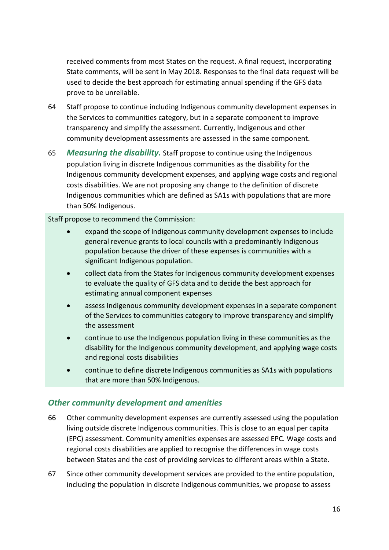received comments from most States on the request. A final request, incorporating State comments, will be sent in May 2018. Responses to the final data request will be used to decide the best approach for estimating annual spending if the GFS data prove to be unreliable.

- 64 Staff propose to continue including Indigenous community development expenses in the Services to communities category, but in a separate component to improve transparency and simplify the assessment. Currently, Indigenous and other community development assessments are assessed in the same component.
- 65 *Measuring the disability.* Staff propose to continue using the Indigenous population living in discrete Indigenous communities as the disability for the Indigenous community development expenses, and applying wage costs and regional costs disabilities. We are not proposing any change to the definition of discrete Indigenous communities which are defined as SA1s with populations that are more than 50% Indigenous.

Staff propose to recommend the Commission:

- expand the scope of Indigenous community development expenses to include general revenue grants to local councils with a predominantly Indigenous population because the driver of these expenses is communities with a significant Indigenous population.
- collect data from the States for Indigenous community development expenses to evaluate the quality of GFS data and to decide the best approach for estimating annual component expenses
- assess Indigenous community development expenses in a separate component of the Services to communities category to improve transparency and simplify the assessment
- continue to use the Indigenous population living in these communities as the disability for the Indigenous community development, and applying wage costs and regional costs disabilities
- continue to define discrete Indigenous communities as SA1s with populations that are more than 50% Indigenous.

### *Other community development and amenities*

- 66 Other community development expenses are currently assessed using the population living outside discrete Indigenous communities. This is close to an equal per capita (EPC) assessment. Community amenities expenses are assessed EPC. Wage costs and regional costs disabilities are applied to recognise the differences in wage costs between States and the cost of providing services to different areas within a State.
- 67 Since other community development services are provided to the entire population, including the population in discrete Indigenous communities, we propose to assess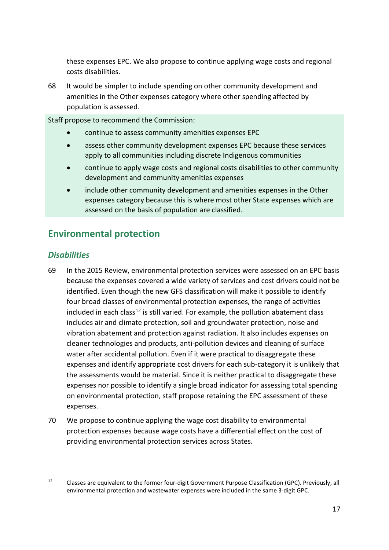these expenses EPC. We also propose to continue applying wage costs and regional costs disabilities.

68 It would be simpler to include spending on other community development and amenities in the Other expenses category where other spending affected by population is assessed.

Staff propose to recommend the Commission:

- continue to assess community amenities expenses EPC
- assess other community development expenses EPC because these services apply to all communities including discrete Indigenous communities
- continue to apply wage costs and regional costs disabilities to other community development and community amenities expenses
- include other community development and amenities expenses in the Other expenses category because this is where most other State expenses which are assessed on the basis of population are classified.

### <span id="page-19-0"></span>**Environmental protection**

### *Disabilities*

- 69 In the 2015 Review, environmental protection services were assessed on an EPC basis because the expenses covered a wide variety of services and cost drivers could not be identified. Even though the new GFS classification will make it possible to identify four broad classes of environmental protection expenses, the range of activities included in each class<sup>[12](#page-19-1)</sup> is still varied. For example, the pollution abatement class includes air and climate protection, soil and groundwater protection, noise and vibration abatement and protection against radiation. It also includes expenses on cleaner technologies and products, anti-pollution devices and cleaning of surface water after accidental pollution. Even if it were practical to disaggregate these expenses and identify appropriate cost drivers for each sub-category it is unlikely that the assessments would be material. Since it is neither practical to disaggregate these expenses nor possible to identify a single broad indicator for assessing total spending on environmental protection, staff propose retaining the EPC assessment of these expenses.
- 70 We propose to continue applying the wage cost disability to environmental protection expenses because wage costs have a differential effect on the cost of providing environmental protection services across States.

<span id="page-19-1"></span><sup>&</sup>lt;sup>12</sup> Classes are equivalent to the former four-digit Government Purpose Classification (GPC). Previously, all environmental protection and wastewater expenses were included in the same 3-digit GPC.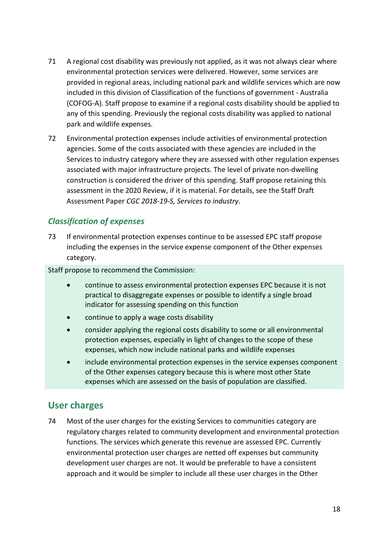- <span id="page-20-1"></span>71 A regional cost disability was previously not applied, as it was not always clear where environmental protection services were delivered. However, some services are provided in regional areas, including national park and wildlife services which are now included in this division of Classification of the functions of government - Australia (COFOG-A). Staff propose to examine if a regional costs disability should be applied to any of this spending. Previously the regional costs disability was applied to national park and wildlife expenses.
- 72 Environmental protection expenses include activities of environmental protection agencies. Some of the costs associated with these agencies are included in the Services to industry category where they are assessed with other regulation expenses associated with major infrastructure projects. The level of private non-dwelling construction is considered the driver of this spending. Staff propose retaining this assessment in the 2020 Review, if it is material. For details, see the Staff Draft Assessment Paper *CGC 2018-19-S, Services to industry*.

### *Classification of expenses*

73 If environmental protection expenses continue to be assessed EPC staff propose including the expenses in the service expense component of the Other expenses category.

Staff propose to recommend the Commission:

- continue to assess environmental protection expenses EPC because it is not practical to disaggregate expenses or possible to identify a single broad indicator for assessing spending on this function
- continue to apply a wage costs disability
- consider applying the regional costs disability to some or all environmental protection expenses, especially in light of changes to the scope of these expenses, which now include national parks and wildlife expenses
- include environmental protection expenses in the service expenses component of the Other expenses category because this is where most other State expenses which are assessed on the basis of population are classified.

### <span id="page-20-0"></span>**User charges**

74 Most of the user charges for the existing Services to communities category are regulatory charges related to community development and environmental protection functions. The services which generate this revenue are assessed EPC. Currently environmental protection user charges are netted off expenses but community development user charges are not. It would be preferable to have a consistent approach and it would be simpler to include all these user charges in the Other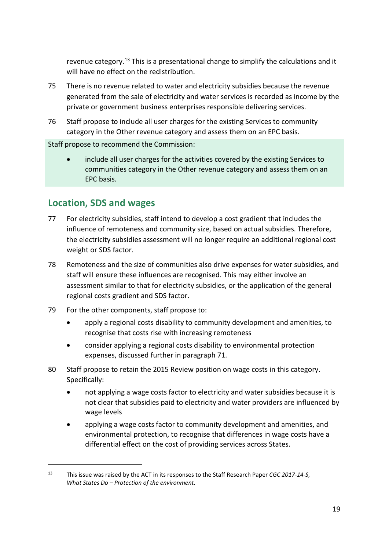revenue category.[13](#page-21-1) This is a presentational change to simplify the calculations and it will have no effect on the redistribution.

- 75 There is no revenue related to water and electricity subsidies because the revenue generated from the sale of electricity and water services is recorded as income by the private or government business enterprises responsible delivering services.
- 76 Staff propose to include all user charges for the existing Services to community category in the Other revenue category and assess them on an EPC basis.

Staff propose to recommend the Commission:

• include all user charges for the activities covered by the existing Services to communities category in the Other revenue category and assess them on an EPC basis.

### <span id="page-21-0"></span>**Location, SDS and wages**

- 77 For electricity subsidies, staff intend to develop a cost gradient that includes the influence of remoteness and community size, based on actual subsidies. Therefore, the electricity subsidies assessment will no longer require an additional regional cost weight or SDS factor.
- 78 Remoteness and the size of communities also drive expenses for water subsidies, and staff will ensure these influences are recognised. This may either involve an assessment similar to that for electricity subsidies, or the application of the general regional costs gradient and SDS factor.
- 79 For the other components, staff propose to:
	- apply a regional costs disability to community development and amenities, to recognise that costs rise with increasing remoteness
	- consider applying a regional costs disability to environmental protection expenses, discussed further in paragraph [71.](#page-20-1)
- 80 Staff propose to retain the 2015 Review position on wage costs in this category. Specifically:
	- not applying a wage costs factor to electricity and water subsidies because it is not clear that subsidies paid to electricity and water providers are influenced by wage levels
	- applying a wage costs factor to community development and amenities, and environmental protection, to recognise that differences in wage costs have a differential effect on the cost of providing services across States.

<span id="page-21-1"></span><sup>13</sup> This issue was raised by the ACT in its responses to the Staff Research Paper *CGC 2017-14-S, What States Do – Protection of the environment.*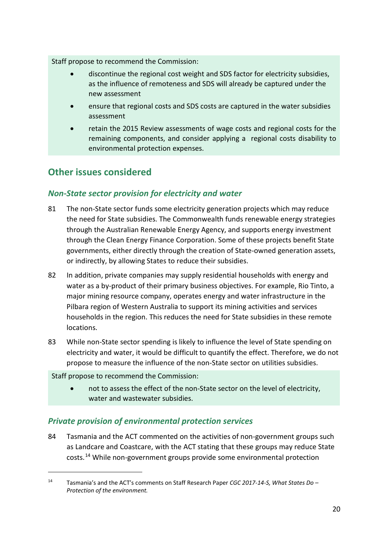Staff propose to recommend the Commission:

- discontinue the regional cost weight and SDS factor for electricity subsidies, as the influence of remoteness and SDS will already be captured under the new assessment
- ensure that regional costs and SDS costs are captured in the water subsidies assessment
- retain the 2015 Review assessments of wage costs and regional costs for the remaining components, and consider applying a regional costs disability to environmental protection expenses.

### <span id="page-22-0"></span>**Other issues considered**

### *Non-State sector provision for electricity and water*

- 81 The non-State sector funds some electricity generation projects which may reduce the need for State subsidies. The Commonwealth funds renewable energy strategies through the Australian Renewable Energy Agency, and supports energy investment through the Clean Energy Finance Corporation. Some of these projects benefit State governments, either directly through the creation of State-owned generation assets, or indirectly, by allowing States to reduce their subsidies.
- 82 In addition, private companies may supply residential households with energy and water as a by-product of their primary business objectives. For example, Rio Tinto, a major mining resource company, operates energy and water infrastructure in the Pilbara region of Western Australia to support its mining activities and services households in the region. This reduces the need for State subsidies in these remote locations.
- 83 While non-State sector spending is likely to influence the level of State spending on electricity and water, it would be difficult to quantify the effect. Therefore, we do not propose to measure the influence of the non-State sector on utilities subsidies.

Staff propose to recommend the Commission:

 $\overline{a}$ 

• not to assess the effect of the non-State sector on the level of electricity, water and wastewater subsidies.

### *Private provision of environmental protection services*

84 Tasmania and the ACT commented on the activities of non-government groups such as Landcare and Coastcare, with the ACT stating that these groups may reduce State costs. [14](#page-22-1) While non-government groups provide some environmental protection

<span id="page-22-1"></span><sup>14</sup> Tasmania's and the ACT's comments on Staff Research Paper *CGC 2017-14-S, What States Do – Protection of the environment.*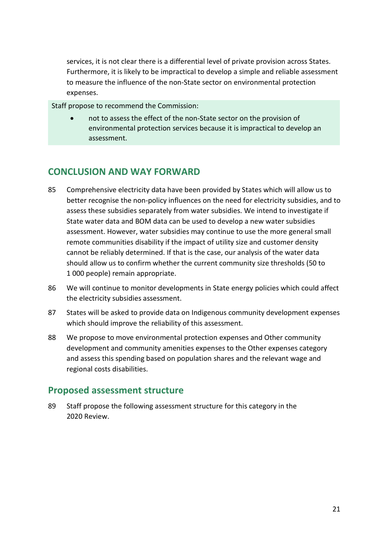services, it is not clear there is a differential level of private provision across States. Furthermore, it is likely to be impractical to develop a simple and reliable assessment to measure the influence of the non-State sector on environmental protection expenses.

Staff propose to recommend the Commission:

• not to assess the effect of the non-State sector on the provision of environmental protection services because it is impractical to develop an assessment.

### <span id="page-23-0"></span>**CONCLUSION AND WAY FORWARD**

- 85 Comprehensive electricity data have been provided by States which will allow us to better recognise the non-policy influences on the need for electricity subsidies, and to assess these subsidies separately from water subsidies. We intend to investigate if State water data and BOM data can be used to develop a new water subsidies assessment. However, water subsidies may continue to use the more general small remote communities disability if the impact of utility size and customer density cannot be reliably determined. If that is the case, our analysis of the water data should allow us to confirm whether the current community size thresholds (50 to 1 000 people) remain appropriate.
- 86 We will continue to monitor developments in State energy policies which could affect the electricity subsidies assessment.
- 87 States will be asked to provide data on Indigenous community development expenses which should improve the reliability of this assessment.
- 88 We propose to move environmental protection expenses and Other community development and community amenities expenses to the Other expenses category and assess this spending based on population shares and the relevant wage and regional costs disabilities.

### <span id="page-23-1"></span>**Proposed assessment structure**

89 Staff propose the following assessment structure for this category in the 2020 Review.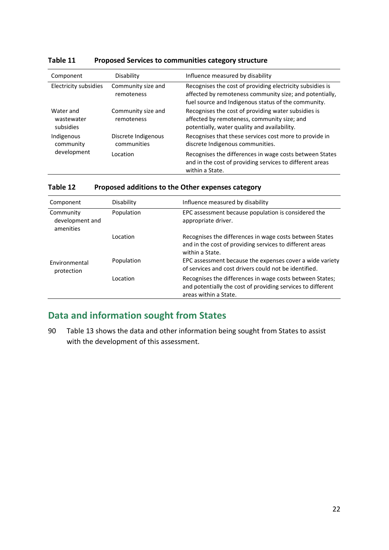| Component                              | Disability                         | Influence measured by disability                                                                                                                                            |  |
|----------------------------------------|------------------------------------|-----------------------------------------------------------------------------------------------------------------------------------------------------------------------------|--|
| Electricity subsidies                  | Community size and<br>remoteness   | Recognises the cost of providing electricity subsidies is<br>affected by remoteness community size; and potentially,<br>fuel source and Indigenous status of the community. |  |
| Water and<br>wastewater<br>subsidies   | Community size and<br>remoteness   | Recognises the cost of providing water subsidies is<br>affected by remoteness, community size; and<br>potentially, water quality and availability.                          |  |
| Indigenous<br>community<br>development | Discrete Indigenous<br>communities | Recognises that these services cost more to provide in<br>discrete Indigenous communities.                                                                                  |  |
|                                        | Location.                          | Recognises the differences in wage costs between States<br>and in the cost of providing services to different areas<br>within a State.                                      |  |

#### **Table 11 Proposed Services to communities category structure**

#### **Table 12 Proposed additions to the Other expenses category**

| Component                                 | Disability | Influence measured by disability                                                                                                                 |
|-------------------------------------------|------------|--------------------------------------------------------------------------------------------------------------------------------------------------|
| Community<br>development and<br>amenities | Population | EPC assessment because population is considered the<br>appropriate driver.                                                                       |
|                                           | Location   | Recognises the differences in wage costs between States<br>and in the cost of providing services to different areas<br>within a State.           |
| Environmental<br>protection               | Population | EPC assessment because the expenses cover a wide variety<br>of services and cost drivers could not be identified.                                |
|                                           | Location.  | Recognises the differences in wage costs between States;<br>and potentially the cost of providing services to different<br>areas within a State. |

## <span id="page-24-0"></span>**Data and information sought from States**

90 [Table 13](#page-25-0) shows the data and other information being sought from States to assist with the development of this assessment.